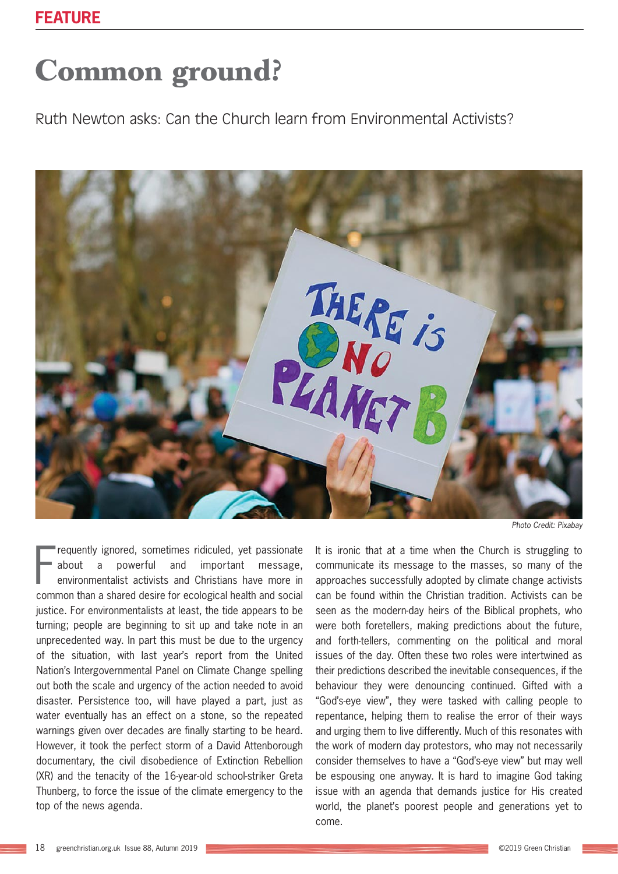## **Common ground?**

Ruth Newton asks: Can the Church learn from Environmental Activists?



*Photo Credit: Pixabay*

F requently ignored, sometimes ridiculed, yet passionate about a powerful and important message, environmentalist activists and Christians have more in common than a shared desire for ecological health and social justice. For environmentalists at least, the tide appears to be turning; people are beginning to sit up and take note in an unprecedented way. In part this must be due to the urgency of the situation, with last year's report from the United Nation's Intergovernmental Panel on Climate Change spelling out both the scale and urgency of the action needed to avoid disaster. Persistence too, will have played a part, just as water eventually has an effect on a stone, so the repeated warnings given over decades are finally starting to be heard. However, it took the perfect storm of a David Attenborough documentary, the civil disobedience of Extinction Rebellion (XR) and the tenacity of the 16-year-old school-striker Greta Thunberg, to force the issue of the climate emergency to the top of the news agenda.

It is ironic that at a time when the Church is struggling to communicate its message to the masses, so many of the approaches successfully adopted by climate change activists can be found within the Christian tradition. Activists can be seen as the modern-day heirs of the Biblical prophets, who were both foretellers, making predictions about the future, and forth-tellers, commenting on the political and moral issues of the day. Often these two roles were intertwined as their predictions described the inevitable consequences, if the behaviour they were denouncing continued. Gifted with a "God's-eye view", they were tasked with calling people to repentance, helping them to realise the error of their ways and urging them to live differently. Much of this resonates with the work of modern day protestors, who may not necessarily consider themselves to have a "God's-eye view" but may well be espousing one anyway. It is hard to imagine God taking issue with an agenda that demands justice for His created world, the planet's poorest people and generations yet to come.